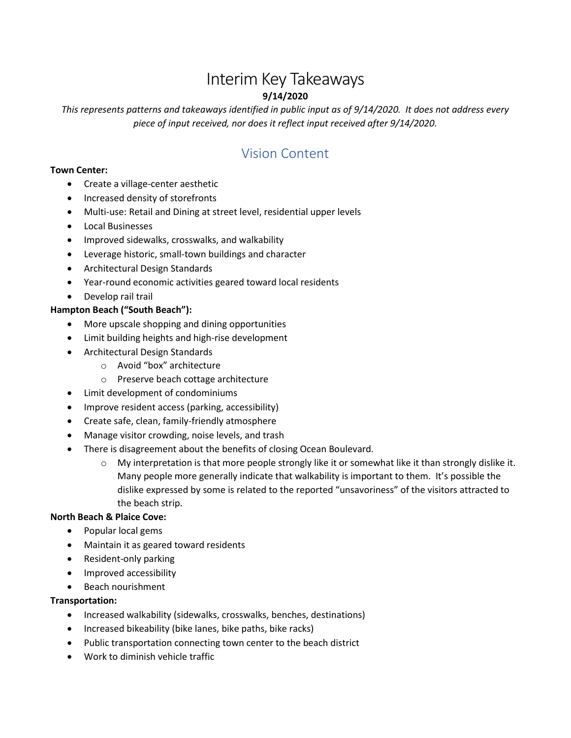# Interim Key Takeaways **9/14/2020**

*This represents patterns and takeaways identified in public input as of 9/14/2020. It does not address every piece of input received, nor does it reflect input received after 9/14/2020.*

# Vision Content

#### **Town Center:**

- Create a village-center aesthetic
- Increased density of storefronts
- Multi-use: Retail and Dining at street level, residential upper levels
- Local Businesses
- Improved sidewalks, crosswalks, and walkability
- Leverage historic, small-town buildings and character
- Architectural Design Standards
- Year-round economic activities geared toward local residents
- Develop rail trail

## **Hampton Beach ("South Beach"):**

- More upscale shopping and dining opportunities
- Limit building heights and high-rise development
- Architectural Design Standards
	- o Avoid "box" architecture
	- o Preserve beach cottage architecture
- Limit development of condominiums
- Improve resident access (parking, accessibility)
- Create safe, clean, family-friendly atmosphere
- Manage visitor crowding, noise levels, and trash
- There is disagreement about the benefits of closing Ocean Boulevard.
	- $\circ$  My interpretation is that more people strongly like it or somewhat like it than strongly dislike it. Many people more generally indicate that walkability is important to them. It's possible the dislike expressed by some is related to the reported "unsavoriness" of the visitors attracted to the beach strip.

## **North Beach & Plaice Cove:**

- Popular local gems
- Maintain it as geared toward residents
- Resident-only parking
- Improved accessibility
- Beach nourishment

## **Transportation:**

- Increased walkability (sidewalks, crosswalks, benches, destinations)
- Increased bikeability (bike lanes, bike paths, bike racks)
- Public transportation connecting town center to the beach district
- Work to diminish vehicle traffic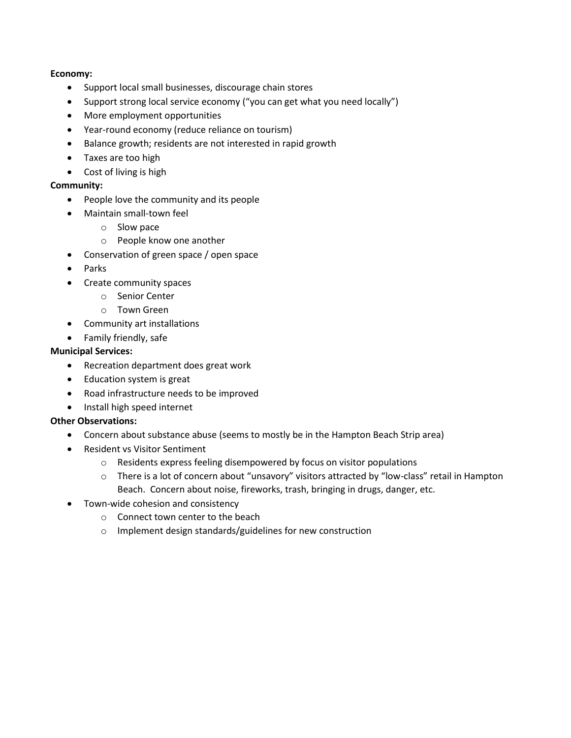#### **Economy:**

- Support local small businesses, discourage chain stores
- Support strong local service economy ("you can get what you need locally")
- More employment opportunities
- Year-round economy (reduce reliance on tourism)
- Balance growth; residents are not interested in rapid growth
- Taxes are too high
- Cost of living is high

#### **Community:**

- People love the community and its people
- Maintain small-town feel
	- o Slow pace
	- o People know one another
- Conservation of green space / open space
- Parks
- Create community spaces
	- o Senior Center
	- o Town Green
- Community art installations
- Family friendly, safe

## **Municipal Services:**

- Recreation department does great work
- Education system is great
- Road infrastructure needs to be improved
- Install high speed internet

## **Other Observations:**

- Concern about substance abuse (seems to mostly be in the Hampton Beach Strip area)
- Resident vs Visitor Sentiment
	- o Residents express feeling disempowered by focus on visitor populations
	- o There is a lot of concern about "unsavory" visitors attracted by "low-class" retail in Hampton Beach. Concern about noise, fireworks, trash, bringing in drugs, danger, etc.
- Town-wide cohesion and consistency
	- o Connect town center to the beach
	- o Implement design standards/guidelines for new construction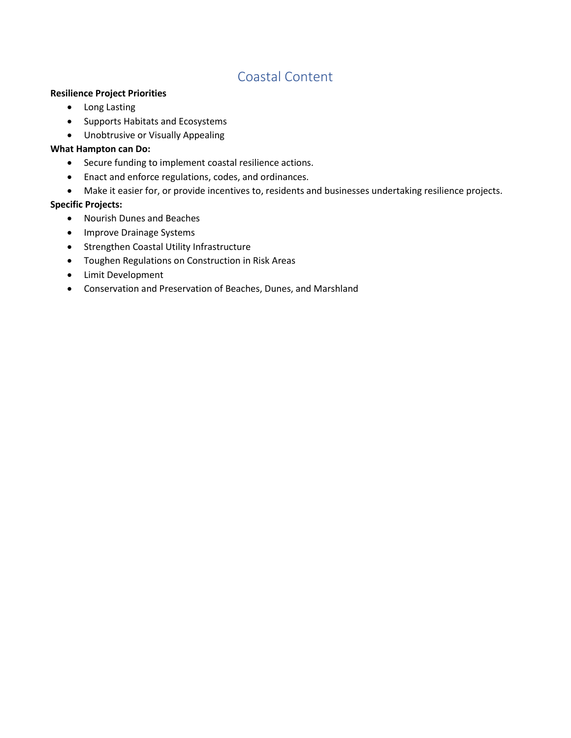## Coastal Content

#### **Resilience Project Priorities**

- Long Lasting
- Supports Habitats and Ecosystems
- Unobtrusive or Visually Appealing

#### **What Hampton can Do:**

- Secure funding to implement coastal resilience actions.
- Enact and enforce regulations, codes, and ordinances.
- Make it easier for, or provide incentives to, residents and businesses undertaking resilience projects.

#### **Specific Projects:**

- Nourish Dunes and Beaches
- Improve Drainage Systems
- **•** Strengthen Coastal Utility Infrastructure
- Toughen Regulations on Construction in Risk Areas
- Limit Development
- Conservation and Preservation of Beaches, Dunes, and Marshland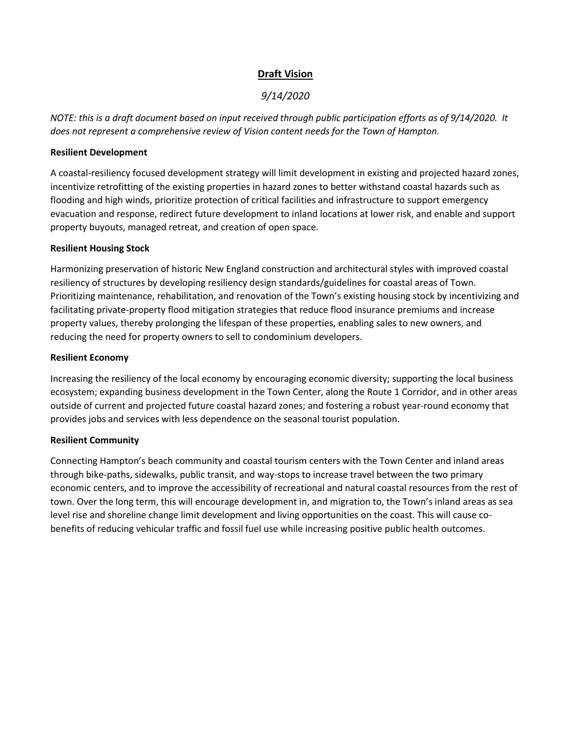## **Draft Vision**

## *9/14/2020*

*NOTE: this is a draft document based on input received through public participation efforts as of 9/14/2020. It does not represent a comprehensive review of Vision content needs for the Town of Hampton.*

#### **Resilient Development**

A coastal-resiliency focused development strategy will limit development in existing and projected hazard zones, incentivize retrofitting of the existing properties in hazard zones to better withstand coastal hazards such as flooding and high winds, prioritize protection of critical facilities and infrastructure to support emergency evacuation and response, redirect future development to inland locations at lower risk, and enable and support property buyouts, managed retreat, and creation of open space.

#### **Resilient Housing Stock**

Harmonizing preservation of historic New England construction and architectural styles with improved coastal resiliency of structures by developing resiliency design standards/guidelines for coastal areas of Town. Prioritizing maintenance, rehabilitation, and renovation of the Town's existing housing stock by incentivizing and facilitating private-property flood mitigation strategies that reduce flood insurance premiums and increase property values, thereby prolonging the lifespan of these properties, enabling sales to new owners, and reducing the need for property owners to sell to condominium developers.

#### **Resilient Economy**

Increasing the resiliency of the local economy by encouraging economic diversity; supporting the local business ecosystem; expanding business development in the Town Center, along the Route 1 Corridor, and in other areas outside of current and projected future coastal hazard zones; and fostering a robust year-round economy that provides jobs and services with less dependence on the seasonal tourist population.

## **Resilient Community**

Connecting Hampton's beach community and coastal tourism centers with the Town Center and inland areas through bike-paths, sidewalks, public transit, and way-stops to increase travel between the two primary economic centers, and to improve the accessibility of recreational and natural coastal resources from the rest of town. Over the long term, this will encourage development in, and migration to, the Town's inland areas as sea level rise and shoreline change limit development and living opportunities on the coast. This will cause cobenefits of reducing vehicular traffic and fossil fuel use while increasing positive public health outcomes.